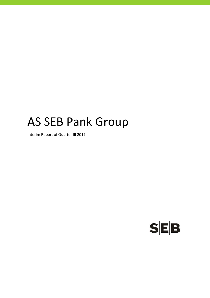# AS SEB Pank Group

Interim Report of Quarter III 2017

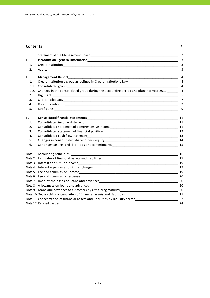## **Contents** P.

| I<br>I<br>۰. |  |
|--------------|--|
|              |  |

|      | Statement of the Management Board Statement of the Management of the Management Board                                                                                                                                          | $\overline{2}$ |
|------|--------------------------------------------------------------------------------------------------------------------------------------------------------------------------------------------------------------------------------|----------------|
| I.   |                                                                                                                                                                                                                                | 3              |
| 1.   |                                                                                                                                                                                                                                | 3              |
| 2.   |                                                                                                                                                                                                                                | 3              |
| II.  | <b>Management Report_</b>                                                                                                                                                                                                      | 4              |
| 1.   | Credit institution's group as defined in Credit Institutions Law___________________________________                                                                                                                            | $\overline{4}$ |
| 1.1. |                                                                                                                                                                                                                                | $\overline{4}$ |
| 1.2. | Changes in the consolidated group during the accounting period and plans for year 2017______                                                                                                                                   | $\overline{4}$ |
| 2.   |                                                                                                                                                                                                                                | 5              |
| 3.   |                                                                                                                                                                                                                                | 7              |
| 4.   |                                                                                                                                                                                                                                | 9              |
| 5.   |                                                                                                                                                                                                                                | 9              |
| III. |                                                                                                                                                                                                                                | 11             |
| 1.   |                                                                                                                                                                                                                                |                |
| 2.   | Consolidated statement of comprehensive income entrance and consolidated statement of comprehensive income                                                                                                                     |                |
| 3.   |                                                                                                                                                                                                                                |                |
| 4.   |                                                                                                                                                                                                                                | 13             |
| 5.   |                                                                                                                                                                                                                                |                |
| 6.   | Contingent assets and liabilities and commitments and the state of the state of the state of the state of the state of the state of the state of the state of the state of the state of the state of the state of the state of |                |
|      |                                                                                                                                                                                                                                | 16             |
|      | Note 2 Fair value of financial assets and liabilities example and the set of the set of the set of the set of the set of the set of the set of the set of the set of the set of the set of the set of the set of the set of th |                |
|      |                                                                                                                                                                                                                                | 19             |
|      |                                                                                                                                                                                                                                | 19             |
|      |                                                                                                                                                                                                                                |                |
|      |                                                                                                                                                                                                                                |                |
|      |                                                                                                                                                                                                                                | 20             |
|      |                                                                                                                                                                                                                                | 20             |
|      |                                                                                                                                                                                                                                |                |
|      |                                                                                                                                                                                                                                |                |
|      | Note 11 Concentration of financial assets and liabilities by industry sector_________________________________22                                                                                                                |                |
|      | Note 12 Related parties                                                                                                                                                                                                        | 24             |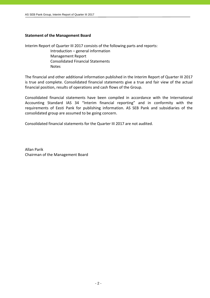# **Statement of the Management Board**

Interim Report of Quarter III 2017 consists of the following parts and reports:

 Introduction – general information Management Report Consolidated Financial Statements Notes

The financial and other additional information published in the Interim Report of Quarter III 2017 is true and complete. Consolidated financial statements give a true and fair view of the actual financial position, results of operations and cash flows of the Group.

Consolidated financial statements have been compiled in accordance with the International Accounting Standard IAS 34 "Interim financial reporting" and in conformity with the requirements of Eesti Pank for publishing information. AS SEB Pank and subsidiaries of the consolidated group are assumed to be going concern.

Consolidated financial statements for the Quarter III 2017 are not audited.

Allan Parik Chairman of the Management Board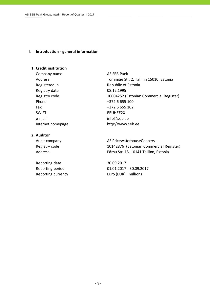# **I. Introduction ‐ general information**

# **1. Credit institution**

Company name AS SEB Pank Registered in Republic of Estonia Registry date 08.12.1995 Phone  $+3726655100$ Fax +372 6 655 102 SWIFT EEUHEE2X e-mail info@seb.ee Internet homepage http://www.seb.ee

# **2. Auditor**

Reporting date 30.09.2017

Address Tornimäe Str. 2, Tallinn 15010, Estonia Registry code 10004252 (Estonian Commercial Register)

Audit company and all the AS PricewaterhouseCoopers Registry code 10142876 (Estonian Commercial Register) Address Pärnu Str. 15, 10141 Tallinn, Estonia

Reporting period 01.01.2017 ‐ 30.09.2017 Reporting currency Euro (EUR), millions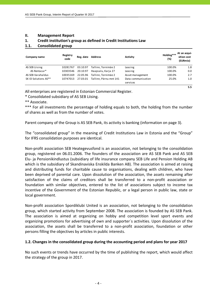# **II. Management Report**

# **1. Credit institution's group as defined in Credit Institutions Law**

# **1.1. Consolidated group**

| Company name         | Registry<br>code | Reg. date | <b>Address</b>         | Activity                       | Holding***<br>(%) | At an acqui-<br>sition cost<br>(EURmio) |
|----------------------|------------------|-----------|------------------------|--------------------------------|-------------------|-----------------------------------------|
| AS SEB Liising       | 10281767         | 03.10.97  | Tallinn, Tornimäe 2    | Leasing                        | 100.0%            | 1.8                                     |
| AS Rentacar*         | 10303546         | 20.10.97  | Haapsalu, Karja 27     | Leasing                        | 100.0%            | 0.0                                     |
| AS SEB Varahaldus    | 10035169         | 22.05.96  | Tallinn. Tornimäe 2    | Asset management               | 100.0%            | 2.7                                     |
| SK ID Solutions AS** | 10747013         | 27.03.01  | Tallinn, Pärnu mnt 141 | Data communication<br>services | 25.0%             | 1.0                                     |

All enterprises are registered in Estonian Commercial Register.

\* Consolidated subsidiary of AS SEB Liising.

\*\* Associate.

\*\*\* For all investments the percentage of holding equals to both, the holding from the number of shares as well as from the number of votes.

**5.5**

Parent company of the Group is AS SEB Pank, its activity is banking (information on page 3).

The "consolidated group" in the meaning of Credit Institutions Law in Estonia and the "Group" for IFRS consolidation purposes are identical.

Non‐profit association SEB Heategevusfond is an association, not belonging to the consolidation group, registered on 06.01.2006. The founders of the association are AS SEB Pank and AS SEB Elu‐ ja Pensionikindlustus (subsidiary of life insurance company SEB Life and Pension Holding AB which is the subsidiary of Skandinaviska Enskilda Banken AB). The association is aimed at raising and distributing funds for charitable cause to organisations, dealing with children, who have been deprived of parental care. Upon dissolution of the association, the assets remaining after satisfaction of the claims of creditors shall be transferred to a non-profit association or foundation with similar objectives, entered to the list of associations subject to income tax incentive of the Government of the Estonian Republic, or a legal person in public law, state or local government.

Non‐profit association Spordiklubi United is an association, not belonging to the consolidation group, which started activity from September 2008. The association is founded by AS SEB Pank. The association is aimed at organizing on hobby and competition level sport events and organizing promotions for advertising of own and supporter´s activities. Upon dissolution of the association, the assets shall be transferred to a non‐profit association, foundation or other persons filling the objectives by articles in public interests.

# **1.2. Changes in the consolidated group during the accounting period and plans for year 2017**

No such events or trends have occurred by the time of publishing the report, which would affect the strategy of the group in 2017.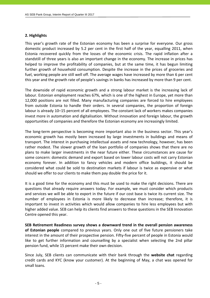# **2. Highlights**

This year's growth rate of the Estonian economy has been a surprise for everyone. Our gross domestic product increased by 5.2 per cent in the first half of the year, equalling 2011, when Estonia recovered quickly from the losses of the economic crisis. The rapid inflation after a standstill of three years is also an important change in the economy. The increase in prices has helped to improve the profitability of companies, but at the same time, it has begun limiting further growth of household consumption. Despite the increase in the prices of groceries and fuel, working people are still well off. The average wages have increased by more than 6 per cent this year and the growth rate of people's savings in banks has increased by more than 9 per cent.

The downside of rapid economic growth and a strong labour market is the increasing lack of labour. Estonian employment reaches 67%, which is one of the highest in Europe, yet more than 12,000 positions are not filled. Many manufacturing companies are forced to hire employees from outside Estonia to handle their orders. In several companies, the proportion of foreign labour is already 10–15 percent of all employees. The constant lack of workers makes companies invest more in automation and digitalisation. Without innovation and foreign labour, the growth opportunities of companies and therefore the Estonian economy are increasingly limited.

The long-term perspective is becoming more important also in the business sector. This year's economic growth has mostly been increased by large investments in buildings and means of transport. The interest in purchasing intellectual assets and new technology, however, has been rather modest. The slower growth of the loan portfolio of companies shows that there are no plans to make larger investments in the near future either. These circumstances are cause for some concern: domestic demand and export based on lower labour costs will not carry Estonian economy forever. In addition to fancy vehicles and modern office buildings, it should be considered what could be sold to destination markets if labour is twice as expensive or what should we offer to our clients to make them pay double the price for it.

It is a good time for the economy and this must be used to make the right decisions. There are questions that already require answers today. For example, we must consider which products and services we will be able to export in the future if our cost base is twice its current size. The number of employees in Estonia is more likely to decrease than increase; therefore, it is important to invest in activities which would allow companies to hire less employees but with higher added value. SEB can help its clients find answers to these questions in the SEB Innovation Centre opened this year.

**SEB Retirement Readiness survey shows a downward trend in the overall pension awareness of Estonian people** compared to previous years. Only one out of five future pensioners take interest in the amount of their prospective pension. Fifty-five percent of people in Estonia would like to get further information and counselling by a specialist when selecting the 2nd pillar pension fund, while 15 percent make their own decision.

Since July, SEB clients can communicate with their bank through the **website chat** regarding credit cards and KYC (know your customer). At the beginning of May, a chat was opened for small loans.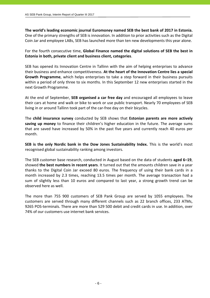**The world's leading economic journal Euromoney named SEB the best bank of 2017 in Estonia.** One of the primary strengths of SEB is innovation. In addition to prior activities such as the Digital Coin Jar and employee LABs, SEB has launched more than ten new developments this year alone.

For the fourth consecutive time, **Global Finance named the digital solutions of SEB the best in Estonia in both, private client and business client, categories**.

SEB has opened its Innovation Centre in Tallinn with the aim of helping enterprises to advance their business and enhance competitiveness. **At the heart of the Innovation Centre lies a special Growth Programme**, which helps enterprises to take a step forward in their business pursuits within a period of only three to six months. In this September 12 new enterprises started in the next Growth Programme.

At the end of September, **SEB organised a car free day** and encouraged all employees to leave their cars at home and walk or bike to work or use public transport. Nearly 70 employees of SEB living in or around Tallinn took part of the car-free day on their bicycles.

The **child insurance survey** conducted by SEB shows that **Estonian parents are more actively saving up money** to finance their children's higher education in the future. The average sums that are saved have increased by 50% in the past five years and currently reach 40 euros per month.

**SEB is the only Nordic bank in the Dow Jones Sustainability Index.** This is the world's most recognised global sustainability ranking among investors.

The SEB customer base research, conducted in August based on the data of students **aged 6–19**, showed **the best numbers in recent years**. It turned out that the amounts children save in a year thanks to the Digital Coin Jar exceed 80 euros. The frequency of using their bank cards in a month increased by 2.3 times, reaching 13.5 times per month. The average transaction had a sum of slightly less than 10 euros and compared to last year, a strong growth trend can be observed here as well.

The more than 755 900 customers of SEB Pank Group are served by 1055 employees. The customers are served through many different channels such as 22 branch offices, 233 ATMs, 9265 POS-terminals. There are more than 529 500 debit and credit cards in use. In addition, over 74% of our customers use internet bank services.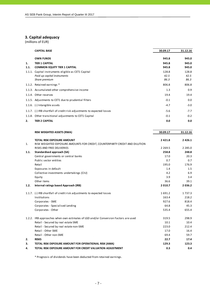# **3. Capital adequacy**

(millions of EUR)

|        | <b>CAPITAL BASE</b>                                                    | 30.09.17 | 31.12.16 |
|--------|------------------------------------------------------------------------|----------|----------|
|        | <b>OWN FUNDS</b>                                                       | 945.8    | 945.0    |
| 1.     | <b>TIER 1 CAPITAL</b>                                                  | 945.8    | 945.0    |
| 1.1.   | <b>COMMON EQUITY TIER 1 CAPITAL</b>                                    | 945.8    | 945.0    |
| 1.1.1. | Capital instruments eligible as CET1 Capital                           | 128.8    | 128.8    |
|        | Paid up capital instruments                                            | 42.5     | 42.5     |
|        | Share premium                                                          | 86.3     | 86.3     |
|        | 1.1.2. Retained earnings *                                             | 806.8    | 806.8    |
|        | 1.1.3. Accumulated other comprehensive income                          | 1.3      | 0.9      |
|        | 1.1.4. Other reserves                                                  | 19.4     | 19.4     |
|        | 1.1.5. Adjustments to CET1 due to prudential filters                   | $-0.1$   | 0.0      |
|        | 1.1.6. (-) Intangible assets                                           | $-4.7$   | $-3.0$   |
|        | 1.1.7. (-) IRB shortfall of credit risk adjustments to expected losses | $-5.6$   | $-7.7$   |
|        | 1.1.8. Other transitional adjustments to CET1 Capital                  | $-0.1$   | $-0.2$   |
| 2.     | <b>TIER 2 CAPITAL</b>                                                  | 0.0      | 0.0      |

|      | <b>RISK WEIGHTED ASSETS (RWA)</b>                                                  | 30.09.17            | 31.12.16            |
|------|------------------------------------------------------------------------------------|---------------------|---------------------|
|      | <b>TOTAL RISK EXPOSURE AMOUNT</b>                                                  | 2 4 2 1.8           | 2 4 2 6 .1          |
| 1.   | RISK WEIGHTED EXPOSURE AMOUNTS FOR CREDIT, COUNTERPARTY CREDIT AND DILUTION        |                     |                     |
|      | RISKS AND FREE DELIVERIES                                                          | 2 2 6 9 .5<br>258.8 | 2 2 8 5 .0<br>248.8 |
| 1.1. | Standardised approach (SA)                                                         |                     |                     |
|      | Central governments or central banks                                               | 17.0                | 20.3                |
|      | Public sector entities                                                             | 0.7                 | 0.7                 |
|      | Retail                                                                             | 195.0               | 176.9               |
|      | Exposures in default                                                               | 1.4                 | 1.5                 |
|      | Collective investments undertakings (CIU)                                          | 4.2                 | 6.9                 |
|      | Equity                                                                             | 3.9                 | 3.4                 |
|      | Other items                                                                        | 36.6                | 39.1                |
| 1.2. | Internal ratings based Approach (IRB)                                              | 2 0 1 0.7           | 2036.2              |
|      | 1.1.7. (-) IRB shortfall of credit risk adjustments to expected losses             | 1691.2              | 1 7 3 7 . 3         |
|      | Institutions                                                                       | 163.4               | 218.2               |
|      | Corporates - SME                                                                   | 927.6               | 818.4               |
|      | Corporates - Specialised Lending                                                   | 64.8                | 45.3                |
|      | Corporates - Other                                                                 | 535.4               | 655.4               |
|      | 1.2.2. IRB approaches when own estimates of LGD and/or Conversion Factors are used | 319.5               | 298.9               |
|      | Retail - Secured by real estate SME                                                | 10.1                | 10.4                |
|      | Retail - Secured by real estate non-SME                                            | 223.0               | 212.4               |
|      | Retail - Other SME                                                                 | 17.0                | 16.4                |
|      | Retail - Other non-SME                                                             | 69.4                | 59.7                |
| 2.   | <b>RISKS</b>                                                                       | 22.7                | 17.4                |
| 3.   | TOTAL RISK EXPOSURE AMOUNT FOR OPERATIONAL RISK (AMA)                              | 129.3               | 123.3               |
| 4.   | TOTAL RISK EXPOSURE AMOUNT FOR CREDIT VALUATION ADJUSTMENT                         | 0.3                 | 0.4                 |

\* Prognosis of dividends have been deducted from retained earnings.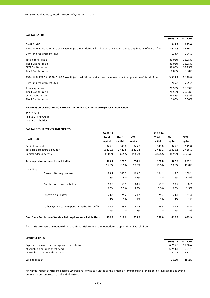#### **CAPITAL RATIOS**

|                                                                                                                    | 30.09.17    | 31.12.16    |
|--------------------------------------------------------------------------------------------------------------------|-------------|-------------|
| <b>OWN FUNDS</b>                                                                                                   | 945.8       | 945.0       |
| TOTAL RISK EXPOSURE AMOUNT Basel III (without additional risk exposure amount due to application of Basel I floor) | 2 4 2 1.8   | 2 4 2 6 .1  |
| Own fund requirement (8%)                                                                                          | 193.7       | 194.1       |
| Total capital ratio                                                                                                | 39.05%      | 38.95%      |
| Tier 1 Capital ratio                                                                                               | 39.05%      | 38.95%      |
| CET1 Capital ratio                                                                                                 | 39.05%      | 38.95%      |
| Tier 2 Capital ratio                                                                                               | 0.00%       | 0.00%       |
| TOTAL RISK EXPOSURE AMOUNT Basel III (with additional risk exposure amount due to application of Basel I floor)    | 3 3 1 5 . 3 | 3 1 8 9 . 8 |
| Own fund requirement (8%)                                                                                          | 265.2       | 255.2       |
| Total capital ratio                                                                                                | 28.53%      | 29.63%      |
| Tier 1 Capital ratio                                                                                               | 28.53%      | 29.63%      |
| CET1 Capital ratio                                                                                                 | 28.53%      | 29.63%      |
| Tier 2 Capital ratio                                                                                               | 0.00%       | 0.00%       |

#### **MEMBERS OF CONSOLIDATION GROUP, INCLUDED TO CAPITAL ADEQUACY CALCULATION**

AS SEB Pank AS SEB Liising Group AS SEB Varahaldus

#### **CAPITAL REQUIREMENTS AND BUFFERS**

|                        |                                                                   | 30.09.17                |                   |                 | 31.12.16                |                   |                 |
|------------------------|-------------------------------------------------------------------|-------------------------|-------------------|-----------------|-------------------------|-------------------|-----------------|
| <b>OWN FUNDS</b>       |                                                                   | <b>Total</b><br>capital | Tier 1<br>capital | CET1<br>capital | <b>Total</b><br>capital | Tier 1<br>capital | CET1<br>capital |
| Capital amount         |                                                                   | 945.8                   | 945.8             | 945.8           | 945.0                   | 945.0             | 945.0           |
|                        | Total risk exposure amount *                                      | 2 4 2 1.8               | 2 4 2 1.8         | 2 4 2 1.8       | 2 4 2 6 . 1             | 2 4 2 6 . 1       | 2 4 2 6 . 1     |
| Capital adequacy ratio |                                                                   | 39.05%                  | 39.05%            | 39.05%          | 38.95%                  | 38.95%            | 38.95%          |
|                        | Total capital requirements, incl. buffers                         | 375.4                   | 326.9             | 290.6           | 376.0                   | 327.5             | 291.1           |
|                        |                                                                   | 15.5%                   | 13.5%             | 12.0%           | 15.5%                   | 13.5%             | 12.0%           |
| including:             |                                                                   |                         |                   |                 |                         |                   |                 |
|                        | Base capital requirement                                          | 193.7                   | 145.3             | 109.0           | 194.1                   | 145.6             | 109.2           |
|                        |                                                                   | 8%                      | 6%                | 4.5%            | 8%                      | 6%                | 4.5%            |
|                        | Capital conservation buffer                                       | 60.5                    | 60.5              | 60.5            | 60.7                    | 60.7              | 60.7            |
|                        |                                                                   | 2.5%                    | 2.5%              | 2.5%            | 2.5%                    | 2.5%              | 2.5%            |
|                        | Systemic risk buffer                                              | 24.2                    | 24.2              | 24.2            | 24.3                    | 24.3              | 24.3            |
|                        |                                                                   | 1%                      | 1%                | 1%              | 1%                      | 1%                | 1%              |
|                        | Other Systemically Important Institution buffer                   | 48.4                    | 48.4              | 48.4            | 48.5                    | 48.5              | 48.5            |
|                        |                                                                   | 2%                      | 2%                | 2%              | 2%                      | 2%                | 2%              |
|                        | Own funds Surplus(+) of total capital requirements, incl. buffers | 570.4                   | 618.9             | 655.2           | 569.0                   | 617.5             | 653.9           |

\* Total risk exposure amount without additional risk exposure amount due to application of Basel I floor

| <b>LEVERAGE RATIO</b>                           |            |             |
|-------------------------------------------------|------------|-------------|
|                                                 | 30.09.17   | 31.12.16    |
| Exposure measure for leverage ratio calculation | 6 2 1 5 .5 | 6 2 3 6 . 4 |
| of which on balance sheet items                 | 5 744.3    | 5 7 6 4 . 1 |
| of which off balance sheet items                | 471.2      | 472.3       |
| Leverage ratio*                                 | 15.2%      | 15.2%       |

\*In Annual report of reference period Leverage Ratio was calculated as the simple arithmetic mean of the monthly leverage ratios over a quarter. In Current report as of end of period.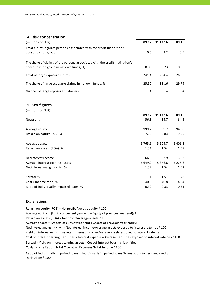# **4. Risk concentration**

| (millions of EUR)                                                                                                       | 30.09.17 | 31.12.16 | 30.09.16 |
|-------------------------------------------------------------------------------------------------------------------------|----------|----------|----------|
| Total claims against persons associated with the credit institution's<br>consolidation group                            | 0.5      | 2.2      | 0.5      |
| The share of claims of the persons associated with the credit institution's<br>consolidation group in net own funds, %, | 0.06     | 0.23     | 0.06     |
| Total of large exposure claims                                                                                          | 241.4    | 294.4    | 265.0    |
| The share of large exposure claims in net own funds, %                                                                  | 25.52    | 31.16    | 29.79    |
| Number of large exposure customers                                                                                      | 4        | 4        | 4        |

## **5. Key figures**

| (millions of EUR)                       |             |             |           |
|-----------------------------------------|-------------|-------------|-----------|
|                                         | 30.09.17    | 31.12.16    | 30.09.16  |
| Net profit                              | 56.8        | 84.7        | 64.5      |
| Average equity                          | 999.7       | 959.2       | 949.0     |
| Return on equity (ROE), %               | 7.58        | 8.83        | 9.06      |
| Average assets                          | 5 7 6 5 . 6 | 5 5 0 4 .7  | 5 4 0 6.8 |
| Return on assets (ROA), %               | 1.31        | 1.54        | 1.59      |
| Net interest income                     | 66.6        | 82.9        | 60.2      |
| Average interest earning assets         | 5 649.2     | 5 3 7 6 . 6 | 5 2 7 8.6 |
| Net interest margin (NIM), %            | 1.57        | 1.54        | 1.52      |
| Spread, %                               | 1.54        | 1.51        | 1.48      |
| Cost / Income ratio, %                  | 40.5        | 40.8        | 40.4      |
| Ratio of individually impaired loans, % | 0.32        | 0.33        | 0.31      |

## **Explanations**

Return on equity (ROE) = Net profit/Average equity \* 100 Average equity = (Equity of current year end + Equity of previous year end)/2 Return on assets (ROA) = Net profit/Average assets \* 100 Average assets = (Assets of current year end + Assets of previous year end)/2 Cost of interest bearing liabilities = Interest expenses/Average liabilities exposed to interest rate risk \*100 Cost/Income Ratio = Total Operating Expenses/Total Income \* 100 Net interest margin (NIM) = Net interest income/Average assets exposed to interest rate risk \* 100 Yield on interest earning assets = Interest income/Average assets exposed to interest rate risk Spread = Yield on interest earning assets ‐ Cost of interest bearing liabilities

Ratio of individually impaired loans = Individually impaired loans/Loans to customers and credit institutions\* 100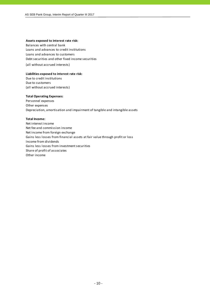#### **Assets exposed to interest rate risk:**

Balances with central bank Loans and advances to credit institutions Loans and advances to customers Debt securities and other fixed income securities

(all without accrued interests)

#### **Liabilities exposed to interest rate risk:**

Due to credit institutions Due to customers (all without accrued interests)

## **Total Operating Expenses:**

Personnel expenses Other expenses Depreciation, amortisation and impairment of tangible and intangible assets

## **Total Income:**

Net interest income Net fee and commission income Net income from foreign exchange Gains less losses from financial assets at fair value through profit or loss Income from dividends Gains less losses from investment securities Share of profit of associates Other income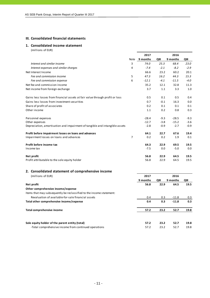# **III. Consolidated financial statements**

## **1. Consolidated income statement**

|                                                                              |                | 2017     | 2016   |          |        |
|------------------------------------------------------------------------------|----------------|----------|--------|----------|--------|
|                                                                              | Note           | 9 months | QIII   | 9 months | QIII   |
| Interest and similar income                                                  | 3              | 74.0     | 25.3   | 68.4     | 23.0   |
| Interest expenses and similar charges                                        | 4              | $-7.4$   | $-2.1$ | $-8.2$   | $-2.9$ |
| Net Interest Income                                                          |                | 66.6     | 23.2   | 60.2     | 20.1   |
| Fee and commission income                                                    | 5              | 47.3     | 16.2   | 44.3     | 15.3   |
| Fee and commission expense                                                   | 6              | $-12.1$  | $-4.1$ | $-11.5$  | $-4.0$ |
| Net fee and commission income                                                |                | 35.2     | 12.1   | 32.8     | 11.3   |
| Net income from foreign exchange                                             |                | 3.7      | 1.1    | 3.3      | 1.0    |
| Gains less losses from financial assets at fair value through profit or loss |                | 0.5      | 0.1    | 0.5      | 0.4    |
| Gains less losses from investment securities                                 |                | 0.7      | $-0.1$ | 16.3     | 0.0    |
| Share of profit of associates                                                |                | 0.2      | 0.1    | 0.1      | 0.1    |
| Other income                                                                 |                | 1.1      | 0.2    | 0.8      | 0.3    |
| Personnel expenses                                                           |                | $-28.4$  | $-9.3$ | $-28.5$  | $-9.3$ |
| Other expenses                                                               |                | $-12.7$  | $-3.8$ | $-15.2$  | $-3.6$ |
| Depreciation, amortisation and impairment of tangible and intangible assets  |                | $-2.8$   | $-0.9$ | $-2.7$   | $-0.9$ |
| Profit before impairment losses on loans and advances                        |                | 64.1     | 22.7   | 67.6     | 19.4   |
| Impairment losses on loans and advances                                      | $\overline{7}$ | 0.2      | 0.2    | 1.9      | 0.1    |
| Profit before income tax                                                     |                | 64.3     | 22.9   | 69.5     | 19.5   |
| Income tax                                                                   |                | $-7.5$   | 0.0    | $-5.0$   | 0.0    |
| Net profit                                                                   |                | 56.8     | 22.9   | 64.5     | 19.5   |
| Profit attributable to the sole equity holder                                |                | 56.8     | 22.9   | 64.5     | 19.5   |
| 2. Consolidated statement of comprehensive income                            |                |          |        |          |        |
| (millions of EUR)                                                            |                | 2017     |        | 2016     |        |
|                                                                              |                | 9 months | QIII   | 9 months | QIII   |
| Net profit                                                                   |                | 56.8     | 22.9   | 64.5     | 19.5   |
| Other comprehensive income/expense                                           |                |          |        |          |        |
| Items that may subsequently be reclassified to the income statement:         |                |          |        |          |        |
| Revaluation of available-for-sale financial assets                           |                | 0.4      | 0.3    | $-11.8$  | 0.3    |
| Total other comprehensive income/expense                                     |                | 0.4      | 0.3    | $-11.8$  | 0.3    |
| <b>Total comprehensive income</b>                                            |                | 57.2     | 23.2   | 52.7     | 19.8   |
|                                                                              |                |          |        |          |        |
|                                                                              |                |          |        |          |        |

| Sole equity holder of the parent entity (total)       | 23.2 | 52.7 | - 19.8 |
|-------------------------------------------------------|------|------|--------|
| -Total comprehensive income from continued operations | 23.2 | 52.7 | 19.8   |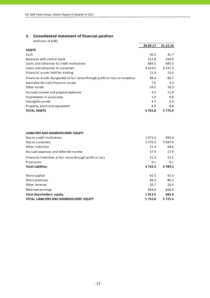# **3. Consolidated statement of financial position**

|                                                                               | 30.09.17   | 31.12.16   |
|-------------------------------------------------------------------------------|------------|------------|
| <b>ASSETS</b>                                                                 |            |            |
| Cash                                                                          | 36.2       | 41.7       |
| Balances with central bank                                                    | 251.8      | 250.9      |
| Loans and advances to credit institutions                                     | 684.5      | 983.3      |
| Loans and advances to customers                                               | 4 6 2 4 .5 | 4 3 3 7 .5 |
| Financial assets held for trading                                             | 21.4       | 23.4       |
| Financial assets designated at fair value through profit or loss at inception | 88.4       | 86.7       |
| Available-for-sale financial assets                                           | 7.0        | 9.3        |
| Other assets                                                                  | 24.2       | 18.3       |
| Accrued income and prepaid expenses                                           | 3.2        | 11.8       |
| Investments in associates                                                     | 1.0        | 0.8        |
| Intangible assets                                                             | 4.7        | 2.9        |
| Property, plant and equipment                                                 | 8.9        | 8.8        |
| <b>TOTAL ASSETS</b>                                                           | 5755.8     | 5 7 7 5.4  |
| LIABILITIES AND SHAREHOLDERS' EQUITY                                          |            |            |
| Due to credit institutions                                                    | 1 0 7 1 .4 | 992.4      |
| Due to customers                                                              | 3 570.3    | 3 687.0    |
| Other liabilities                                                             | 21.3       | 68.6       |
| Accrued expenses and deferred income                                          | 57.9       | 17.9       |
| Financial liabilities at fair value through profit or loss                    | 21.3       | 23.5       |
| Provisions                                                                    | 0.1        | 0.1        |
| <b>Total Liabilities</b>                                                      | 4 742.3    | 4789.5     |
| Share capital                                                                 | 42.5       | 42.5       |
| Share premium                                                                 | 86.3       | 86.3       |
| Other reserves                                                                | 20.7       | 20.3       |
| Retained earnings                                                             | 864.0      | 836.8      |
| <b>Total shareholders' equity</b>                                             | 1013.5     | 985.9      |
| TOTAL LIABILITIES AND SHAREHOLDERS' EQUITY                                    | 5755.8     | 5 7 7 5.4  |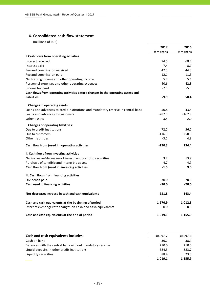# **4. Consolidated cash flow statement**

|                                                                                 | 2017     | 2016        |
|---------------------------------------------------------------------------------|----------|-------------|
|                                                                                 | 9 months | 9 months    |
| I. Cash flows from operating activities                                         |          |             |
| Interest received                                                               | 74.5     | 68.4        |
| Interest paid                                                                   | $-7.4$   | $-8.1$      |
| Fee and commission received                                                     | 47.3     | 44.3        |
| Fee and commission paid                                                         | $-12.1$  | $-11.5$     |
| Net trading income and other operating income                                   | 5.7      | 5.1         |
| Personnel expenses and other operating expenses                                 | $-40.6$  | $-42.8$     |
| Income tax paid                                                                 | $-7.5$   | $-5.0$      |
| Cash flows from operating activities before changes in the operating assets and |          |             |
| <b>liabilities</b>                                                              | 59.9     | 50.4        |
| Changes in operating assets:                                                    |          |             |
| Loans and advances to credit institutions and mandatory reserve in central bank | 50.8     | $-43.5$     |
| Loans and advances to customers                                                 | $-287.3$ | $-162.9$    |
| Other assets                                                                    | 3.5      | $-2.0$      |
| <b>Changes of operating liabilities:</b>                                        |          |             |
| Due to credit institutions                                                      | 72.2     | 56.7        |
| Due to customers                                                                | $-116.3$ | 250.9       |
| Other liabilities                                                               | $-3.1$   | 4.8         |
| Cash flow from (used in) operating activities                                   | $-220.3$ | 154.4       |
| II. Cash flows from investing activities                                        |          |             |
| Net increase-/decrease+ of investment portfolio securities                      | 3.2      | 13.9        |
| Purchase of tangible and intangible assets                                      | $-4.7$   | $-4.9$      |
| Cash flow from (used in) investing activities                                   | $-1.5$   | 9.0         |
| III. Cash flows from financing activities                                       |          |             |
| Dividends paid                                                                  | $-30.0$  | $-20.0$     |
| Cash used in financing activities                                               | $-30.0$  | $-20.0$     |
| Net decrease/increase in cash and cash equivalents                              | $-251.8$ | 143.4       |
| Cash and cash equivalents at the beginning of period                            | 1 270.9  | 1012.5      |
| Effect of exchange rate changes on cash and cash equivalents                    | 0.0      | 0.0         |
| Cash and cash equivalents at the end of period                                  | 1019.1   | 1 1 5 5 . 9 |

| <b>Cash and cash equivalents includes:</b>               | 30.09.17 | 30.09.16    |
|----------------------------------------------------------|----------|-------------|
| Cash on hand                                             | 36.2     | 38.9        |
| Balances with the central bank without mandatory reserve | 210.0    | 210.0       |
| Liquid deposits in other credit institutions             | 684.5    | 883.7       |
| Liquidity securities                                     | 88.4     | 23.3        |
|                                                          | 1019.1   | 1 1 5 5 . 9 |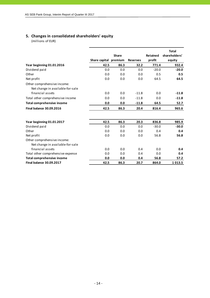# **5. Changes in consolidated shareholders' equity**

|                                   |                       | <b>Share</b> |                 | <b>Retained</b> | <b>Total</b><br>shareholders' |
|-----------------------------------|-----------------------|--------------|-----------------|-----------------|-------------------------------|
|                                   |                       |              |                 | profit          |                               |
|                                   | Share capital premium |              | <b>Reserves</b> |                 | equity                        |
| Year beginning 01.01.2016         | 42.5                  | 86.3         | 32.2            | 771.4           | 932.4                         |
| Dividend paid                     | 0.0                   | 0.0          | 0.0             | $-20.0$         | $-20.0$                       |
| Other                             | 0.0                   | 0.0          | 0.0             | 0.5             | 0.5                           |
| Net profit                        | 0.0                   | 0.0          | 0.0             | 64.5            | 64.5                          |
| Other comprehensive income:       |                       |              |                 |                 |                               |
| Net change in available-for-sale  |                       |              |                 |                 |                               |
| financial assets                  | 0.0                   | 0.0          | $-11.8$         | 0.0             | $-11.8$                       |
| Total other comprehensive income  | 0.0                   | 0.0          | $-11.8$         | 0.0             | $-11.8$                       |
| <b>Total comprehensive income</b> | 0.0                   | 0.0          | $-11.8$         | 64.5            | 52.7                          |
| <b>Final balance 30.09.2016</b>   | 42.5                  | 86.3         | 20.4            | 816.4           | 965.6                         |
|                                   |                       |              |                 |                 |                               |
| Year beginning 01.01.2017         | 42.5                  | 86.3         | 20.3            | 836.8           | 985.9                         |
| Dividend paid                     | 0.0                   | 0.0          | 0.0             | $-30.0$         | $-30.0$                       |
| Other                             | 0.0                   | 0.0          | 0.0             | 0.4             | 0.4                           |
| Net profit                        | 0.0                   | 0.0          | 0.0             | 56.8            | 56.8                          |
| Other comprehensive income:       |                       |              |                 |                 |                               |
| Net change in available-for-sale  |                       |              |                 |                 |                               |
| financial assets                  | 0.0                   | 0.0          | 0.4             | 0.0             | 0.4                           |
| Total other comprehensive expense | 0.0                   | 0.0          | 0.4             | 0.0             | 0.4                           |
| <b>Total comprehensive income</b> | 0.0                   | 0.0          | 0.4             | 56.8            | 57.2                          |
| <b>Final balance 30.09.2017</b>   | 42.5                  | 86.3         | 20.7            | 864.0           | 1013.5                        |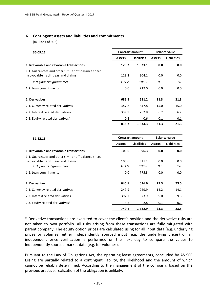# **6. Contingent assets and liabilities and commitments**

(millions of EUR)

| 30.09.17                                                                                   |               | Contract amount | <b>Balance value</b> |                    |  |  |
|--------------------------------------------------------------------------------------------|---------------|-----------------|----------------------|--------------------|--|--|
|                                                                                            | <b>Assets</b> | Liabilities     | <b>Assets</b>        | <b>Liabilities</b> |  |  |
| 1. Irrevocable and revocable transactions                                                  | 129.2         | 1023.1          | 0.0                  | 0.0                |  |  |
| 1.1. Guarantees and other similar off-balance sheet<br>irrovocable liabilitieas and claims | 129.2         | 304.1           | 0.0                  | 0.0                |  |  |
| incl. financial quarantees                                                                 | 129.2         | 105.5           | 0.0                  | 0.0                |  |  |
| 1.2. Loan commitments                                                                      | 0.0           | 719.0           | 0.0                  | 0.0                |  |  |
| 2. Derivatives                                                                             | 686.5         | 611.2           | 21.3                 | 21.3               |  |  |
| 2.1. Currency related derivatives                                                          | 347.8         | 347.8           | 15.0                 | 15.0               |  |  |
| 2.2. Interest related derivatives                                                          | 337.9         | 262.8           | 6.2                  | 6.2                |  |  |
| 2.3. Equity related derivatives*                                                           | 0.8           | 0.6             | 0.1                  | 0.1                |  |  |
|                                                                                            | 815.7         | 1634.3          | 21.3                 | 21.3               |  |  |

| 31.12.16                                            | <b>Contract amount</b> |                    |               | <b>Balance value</b> |  |  |
|-----------------------------------------------------|------------------------|--------------------|---------------|----------------------|--|--|
|                                                     | <b>Assets</b>          | <b>Liabilities</b> | <b>Assets</b> | Liabilities          |  |  |
| 1. Irrevocable and revocable transactions           | 103.6                  | 1096.3             | 0.0           | 0.0                  |  |  |
| 1.1. Guarantees and other similar off-balance sheet |                        |                    |               |                      |  |  |
| irrovocable liabilitieas and claims                 | 103.6                  | 321.2              | 0.0           | 0.0                  |  |  |
| incl. financial quarantees                          | 103.6                  | 133.8              | 0.0           | 0.0                  |  |  |
| 1.2. Loan commitments                               | 0.0                    | 775.3              | 0.0           | 0.0                  |  |  |
| 2. Derivatives                                      | 645.8                  | 626.6              | 23.3          | 23.5                 |  |  |
| 2.1. Currency related derivatives                   | 249.9                  | 249.9              | 14.2          | 14.1                 |  |  |
| 2.2. Interest related derivatives                   | 392.7                  | 373.9              | 9.0           | 9.3                  |  |  |
| 2.3. Equity related derivatives*                    | 3.2                    | 2.8                | 0.1           | 0.1                  |  |  |
|                                                     | 749.4                  | 1722.9             | 23.3          | 23.5                 |  |  |

\* Derivative transactions are executed to cover the client's position and the derivative risks are not taken to own portfolio. All risks arising from these transactions are fully mitigated with parent company. The equity option prices are calculated using for all input data (e.g. underlying prices or volumes) either independently sourced input (e.g. the underlying prices) or an independent price verification is performed on the next day to compare the values to independently sourced market data (e.g. for volumes).

Pursuant to the Law of Obligations Act, the operating lease agreements, concluded by AS SEB Liising are partially related to a contingent liability, the likelihood and the amount of which cannot be reliably determined. According to the management of the company, based on the previous practice, realization of the obligation is unlikely.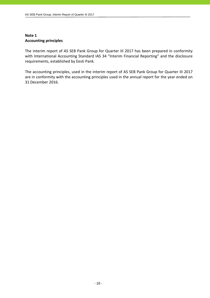# **Note 1 Accounting principles**

The interim report of AS SEB Pank Group for Quarter III 2017 has been prepared in conformity with International Accounting Standard IAS 34 "Interim Financial Reporting" and the disclosure requirements, established by Eesti Pank.

The accounting principles, used in the interim report of AS SEB Pank Group for Quarter III 2017 are in conformity with the accounting principles used in the annual report for the year ended on 31 December 2016.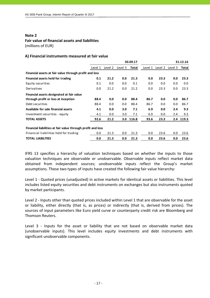# **Fair value of financial assets and liabilities**

(millions of EUR)

# **A) Financial instruments measured at fair value**

|                                                             |         |         |         | 30.09.17 |         |         |         | 31.12.16 |
|-------------------------------------------------------------|---------|---------|---------|----------|---------|---------|---------|----------|
|                                                             | Level 1 | Level 2 | Level 3 | Total    | Level 1 | Level 2 | Level 3 | Total    |
| Financial assets at fair value through profit and loss      |         |         |         |          |         |         |         |          |
| Financial assets held for trading                           | 0.1     | 21.2    | 0.0     | 21.3     | 0.0     | 23.3    | 0.0     | 23.3     |
| Equity securities                                           | 0.1     | 0.0     | 0.0     | 0.1      | 0.0     | 0.0     | 0.0     | 0.0      |
| Derivatives                                                 | 0.0     | 21.2    | 0.0     | 21.2     | 0.0     | 23.3    | 0.0     | 23.3     |
| Financial assets designated at fair value                   |         |         |         |          |         |         |         |          |
| through profit or loss at inception                         | 88.4    | 0.0     | 0.0     | 88.4     | 86.7    | 0.0     | 0.0     | 86.7     |
| Debt securities                                             | 88.4    | 0.0     | 0.0     | 88.4     | 86.7    | 0.0     | 0.0     | 86.7     |
| Available for sale financial assets                         | 4.1     | 0.0     | 3.0     | 7.1      | 6.9     | 0.0     | 2.4     | 9.3      |
| Investment securities - equity                              | 4.1     | 0.0     | 3.0     | 7.1      | 6.9     | 0.0     | 2.4     | 9.3      |
| <b>TOTAL ASSETS</b>                                         | 92.6    | 21.2    | 3.0     | 116.8    | 93.6    | 23.3    | 2.4     | 119.3    |
| Financial liabilities at fair value through profit and loss |         |         |         |          |         |         |         |          |
| Financial liabilities held for trading                      | 0.0     | 21.3    | 0.0     | 21.3     | 0.0     | 23.6    | 0.0     | 23.6     |
| <b>TOTAL LIABILITIES</b>                                    | 0.0     | 21.3    | 0.0     | 21.3     | 0.0     | 23.6    | 0.0     | 23.6     |

IFRS 13 specifies a hierarchy of valuation techniques based on whether the inputs to those valuation techniques are observable or unobservable. Observable inputs reflect market data obtained from independent sources; unobservable inputs reflect the Group's market assumptions. These two types of inputs have created the following fair value hierarchy:

Level 1 ‐ Quoted prices (unadjusted) in active markets for identical assets or liabilities. This level includes listed equity securities and debt instruments on exchanges but also instruments quoted by market participants.

Level 2 ‐ Inputs other than quoted prices included within Level 1 that are observable for the asset or liability, either directly (that is, as prices) or indirectly (that is, derived from prices). The sources of input parameters like Euro yield curve or counterparty credit risk are Bloomberg and Thomson Reuters.

Level 3 - Inputs for the asset or liability that are not based on observable market data (unobservable inputs). This level includes equity investments and debt instruments with significant unobservable components.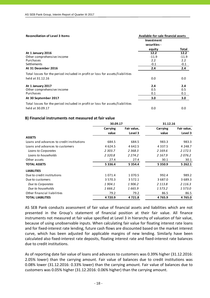#### **Reconciliation** of Level 3 Items **Available**-for-sale financial assets **Total At 1 January 2016 12.2 12.2** Other comprehensive income entity of the comprehensive income entity of the comprehensive income entity of the comprehensive income entity of the comprehensive income entity of the comprehensive income entity of the compre Purchases 2.2 2.2  $\sim$  -0.1  $\sim$  -0.1  $\sim$  -0.1  $\sim$  -0.1  $\sim$  -0.1 **At 31 December 2016 2.4 2.4** 0.0 0.0 **At 1 January 2017 2.4 2.4** Other comprehensive income 0.5 0.5 Purchases 0.1 0.1 **At 30 September 2017 3.0 3.0** 0.0 0.0 Total losses for the period included in profit or loss for assets/liabilities held at 31.12.16 Total losses for the period included in profit or loss for assets/liabilities held at 30.09.17 **Investment securities ‐ equity**

# **B) Financial instruments not measured at fair value**

|                                           | 30.09.17    |             | 31.12.16    |             |
|-------------------------------------------|-------------|-------------|-------------|-------------|
|                                           | Carrying    | Fair value, | Carrying    | Fair value, |
|                                           | value       | Level 3     | value       | Level 3     |
| <b>ASSETS</b>                             |             |             |             |             |
| Loans and advances to credit institutions | 684.5       | 684.5       | 983.3       | 983.3       |
| Loans and advances to customers           | 4 6 2 4 .5  | 4 6 4 2 .5  | 4 3 3 7 .5  | 4 2 4 8 .7  |
| Loans to Corporates                       | 2 303.7     | 2 3 6 8 . 3 | 2 169.6     | 2 172.5     |
| Loans to households                       | 2 3 2 0.8   | 2 2 7 4 . 2 | 2 167.9     | 2076.2      |
| Other assets                              | 27.4        | 27.4        | 30.1        | 30.1        |
| <b>TOTAL ASSETS</b>                       | 5 3 3 6 .4  | 5 3 5 4 .4  | 5 3 5 0 . 9 | 5 262.1     |
| <b>LIABILITIES</b>                        |             |             |             |             |
| Due to credit institutions                | 1 0 7 1 .4  | 1 0 7 0 .5  | 992.4       | 989.2       |
| Due to customers                          | 3 5 7 0 . 3 | 3 5 7 2 . 1 | 3 687.0     | 3 689.3     |
| Due to Corporates                         | 1904.1      | 1906.2      | 2 1 1 3 .8  | 2 1 1 6 . 3 |
| Due to households                         | 1 666.2     | 1 665.9     | 1 573.2     | 1573.0      |
| Other financial liabilities               | 79.2        | 79.2        | 86.5        | 86.5        |
| <b>TOTAL LIABILITIES</b>                  | 4720.9      | 4 7 2 1 .8  | 4765.9      | 4 7 6 5 .0  |

AS SEB Pank conducts assessment of fair value of financial assets and liabilities which are not presented in the Group's statement of financial position at their fair value. All finance instruments not measured at fair value specified at Level 3 in hierarchy of valuation of fair value, because of using unobservable inputs. When calculating fair value for floating interest rate loans and for fixed-interest rate lending, future cash flows are discounted based on the market interest curve, which has been adjusted for applicable margins of new lending. Similarly have been calculated also fixed‐interest rate deposits, floating interest rate and fixed‐interest rate balances due to credit institutions.

As of reporting date fair value of loans and advances to customers was 0.39% higher (31.12.2016: 2.05% lower) than the carrying amount. Fair value of balances due to credit institutions was 0.08% lower (31.12.2016: 0.33% lower) than the carrying amount. Fair value of balances due to customers was 0.05% higher (31.12.2016: 0.06% higher) than the carrying amount.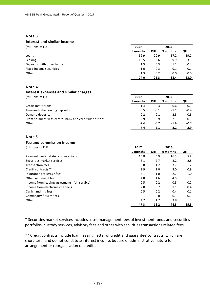# **Interest and similar income**

| (millions of EUR)         | 2017     |      | 2016     |      |
|---------------------------|----------|------|----------|------|
|                           | 9 months | QIII | 9 months | QIII |
| Loans                     | 59.9     | 20.9 | 57.2     | 19.2 |
| Leasing                   | 10.5     | 3.6  | 9.9      | 3.3  |
| Deposits with other banks | 1.3      | 0.3  | 1.2      | 0.4  |
| Fixed income securities   | 1.0      | 0.3  | 0.1      | 0.1  |
| Other                     | 1.3      | 0.2  | 0.0      | 0.0  |
|                           | 74.0     | 25.3 | 68.4     | 23.0 |

# **Note 4**

# **Interest expenses and similar charges**

(millions of EUR) **2017 2016**

|                                                         | 9 months | QIII   | 9 months | QIII   |
|---------------------------------------------------------|----------|--------|----------|--------|
| Credit institutions                                     | $-1.4$   | $-0.3$ | $-0.6$   | $-0.1$ |
| Time and other saving deposits                          | $-0.5$   | $-0.1$ | $-1.1$   | $-0.4$ |
| Demand deposits                                         | $-0.2$   | $-0.1$ | $-2.5$   | $-0.8$ |
| From balances with central bank and credit institutions | $-2.9$   | $-0.9$ | $-2.1$   | $-0.9$ |
| Other                                                   | $-2.4$   | $-0.7$ | $-1.9$   | $-0.7$ |
|                                                         | $-7.4$   | $-2.1$ | $-8.2$   | $-2.9$ |

## **Note 5**

# **Fee and commission income**

| (millions of EUR)                             | 2017     |      |          |      |
|-----------------------------------------------|----------|------|----------|------|
|                                               | 9 months | QIII | 9 months | QIII |
| Payment cards related commissions             | 16.8     | 5.9  | 16.3     | 5.8  |
| Securities market services *                  | 8.1      | 2.7  | 8.2      | 2.8  |
| <b>Transaction fees</b>                       | 3.8      | 1.2  | 3.7      | 1.2  |
| Credit contracts **                           | 2.9      | 1.0  | 3.0      | 0.9  |
| Insurance brokerage fees                      | 3.1      | 1.0  | 2.7      | 1.0  |
| Other settlement fees                         | 4.8      | 1.6  | 4.5      | 1.5  |
| Income from leasing agreements (full service) | 0.5      | 0.2  | 0.5      | 0.2  |
| Income from electronic channels               | 2.0      | 0.7  | 1.1      | 0.4  |
| Cash handling fees                            | 0.5      | 0.2  | 0.4      | 0.1  |
| Commodity futures fees                        | 0.1      | 0.0  | 0.1      | 0.1  |
| Other                                         | 4.7      | 1.7  | 3.8      | 1.3  |
|                                               | 47.3     | 16.2 | 44.3     | 15.3 |

\* Securities market services includes asset management fees of investment funds and securities portfolios, custody services, advisory fees and other with securities transactions related fees.

\*\* Credit contracts include loan, leasing, letter of credit and guarantee contracts, which are short-term and do not constitute interest income, but are of administrative nature for arrangement or reorganisation of credits.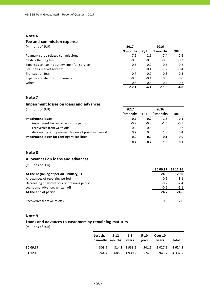# **Fee and commission expense**

(millions of EUR) **2017 2016**

|                                               | 9 months | QIII   | 9 months | QIII   |
|-----------------------------------------------|----------|--------|----------|--------|
| Payment cards related commissions             | $-7.6$   | $-2.6$ | $-7.4$   | $-2.6$ |
| Cash collecting fees                          | $-0.9$   | $-0.3$ | $-0.9$   | $-0.3$ |
| Expenses to leasing agreements (full service) | $-0.5$   | $-0.2$ | $-0.5$   | $-0.2$ |
| Securities market services                    | $-1.3$   | $-0.4$ | $-1.2$   | $-0.4$ |
| <b>Transaction fees</b>                       | $-0.7$   | $-0.2$ | $-0.8$   | $-0.3$ |
| Expenses of electronic channels               | $-0.3$   | $-0.1$ | 0.0      | 0.0    |
| Other                                         | $-0.8$   | $-0.3$ | $-0.7$   | $-0.2$ |
|                                               | $-12.1$  | $-4.1$ | $-11.5$  | $-4.0$ |

## **Note 7**

| Impairment losses on loans and advances            |          |        |          |        |
|----------------------------------------------------|----------|--------|----------|--------|
| (millions of EUR)                                  | 2017     |        | 2016     |        |
|                                                    | 9 months | QIII   | 9 months | QIII   |
| <b>Impairment losses</b>                           | 0.2      | 0.2    | 1.8      | 0.1    |
| impairment losses of reporting period              | $-0.9$   | $-0.3$ | $-1.5$   | $-0.5$ |
| recoveries from write-offs                         | 0.9      | 0.5    | 1.5      | 0.2    |
| decreasing of impairment losses of previous period | 0.2      | 0.0    | 1.8      | 0.4    |
| Impairment losses for contingent liabilities       | 0.0      | 0.0    | 0.1      | 0.0    |
|                                                    | 0.2      | 0.2    | 1.9      | 0.1    |

# **Note 8**

# **Allowances on loans and advances**

(millions of EUR)

|                                             | 30.09.17 | 31.12.16 |
|---------------------------------------------|----------|----------|
| At the beginning of period (January, 1)     | 24.6     | 29.0     |
| Allowances of reporting period              | 0.9      | 3.1      |
| Decreasing of allowances of previous period | $-0.2$   | $-2.4$   |
| Loans and advances written off              | $-0.6$   | $-5.1$   |
| At the end of period                        | 24.7     | 24.6     |
| Recoveries from write-offs                  | 0.9      | 2.0      |

# **Note 9**

# **Loans and advances to customers by remaining maturity**

|          | Less than $3-12$ 1-5<br>3 months months | vears              | 5-10<br>vears | Over 10<br>vears                 | Total |
|----------|-----------------------------------------|--------------------|---------------|----------------------------------|-------|
| 30.09.17 | 308.9                                   |                    |               | 814.1 1933.2 541.1 1027.2 4624.5 |       |
| 31.12.16 | 244.4                                   | 685.6 1939.2 524.6 |               | 943.7 4337.5                     |       |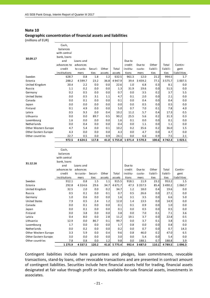# **Geographic concentration of financial assets and liabilities**

(millions of EUR)

|                      | Cash,<br>balances |            |         |        |            |            |             |          |             |             |
|----------------------|-------------------|------------|---------|--------|------------|------------|-------------|----------|-------------|-------------|
|                      | with central      |            |         |        |            |            |             |          |             |             |
| 30.09.17             | bank, loans       |            |         |        |            |            |             |          |             |             |
|                      | and               | Loans and  |         |        |            | Due to     |             |          |             |             |
|                      | advances to       | advances   |         |        |            | credit     | Due to      | Other    | Total       | Contin-     |
|                      | credit            | to custo-  | Securi- | Other  | Total      | institu-   | custo-      | liabili- | liabili-    | gent        |
|                      | institutions      | mers       | ties    | assets | assets     | tions      | mers        | ties     | ties        | liabilities |
| Sweden               | 628.7             | 0.8        | 1.8     | 1.2    | 632.5      | 961.3      | 12.0        | 21.2     | 994.5       | 1.7         |
| Estonia              | 288.2             | 4 5 9 9.7  | 23.2    | 36.8   | 4 9 4 7 .9 | 39.4       | 3 4 5 9 . 2 | 77.1     | 3 5 7 5 . 7 | 1 0 0 7.5   |
| United Kingdom       | 20.4              | 2.2        | 0.0     | 0.0    | 22.6       | 1.0        | 6.8         | 0.3      | 8.1         | 0.0         |
| Russia               | 1.1               | 0.2        | 0.0     | 0.0    | 1.3        | 31.9       | 19.6        | 0.0      | 51.5        | 0.0         |
| Germany              | 0.2               | 0.5        | 0.0     | 0.0    | 0.7        | 0.0        | 3.5         | 0.2      | 3.7         | 5.5         |
| <b>United States</b> | 0.0               | 0.5        | 3.1     | 1.1    | 4.7        | 0.1        | 2.0         | 0.0      | 2.1         | 0.0         |
| Canada               | 0.0               | 0.1        | 0.0     | 0.0    | 0.1        | 0.0        | 0.4         | 0.0      | 0.4         | 0.0         |
| Japan                | 0.0               | 0.0        | 0.0     | 0.0    | 0.0        | 0.0        | 0.5         | 0.0      | 0.5         | 0.0         |
| Finland              | 0.1               | 4.9        | 0.0     | 0.0    | 5.0        | 0.7        | 7.0         | 0.1      | 7.8         | 4.0         |
| Latvia               | 0.5               | 9.3        | 0.0     | 0.4    | 10.2       | 11.2       | 5.7         | 0.4      | 17.3        | 0.5         |
| Lithuania            | 0.0               | 0.0        | 89.7    | 0.5    | 90.2       | 25.5       | 5.6         | 0.2      | 31.3        | 0.3         |
| Luxembourg           | 1.6               | 0.0        | 0.0     | 0.0    | 1.6        | 0.1        | 0.0         | 0.0      | 0.1         | 0.0         |
| Netherlands          | 0.0               | 0.4        | 0.0     | 0.0    | 0.4        | 0.0        | 1.1         | 0.0      | 1.1         | 0.0         |
| Other Western Europe | 4.7               | 5.4        | 0.0     | 0.1    | 10.2       | 0.2        | 35.6        | 0.2      | 36.0        | 1.5         |
| Other Eastern Europe | 4.3               | 0.0        | 0.0     | 0.0    | 4.3        | 0.0        | 4.7         | 0.0      | 4.7         | 0.0         |
| Other countries      | 22.7              | 0.5        | 0.0     | 0.9    | 24.1       | 0.0        | 6.6         | 0.9      | 7.5         | 2.1         |
|                      | 972.5             | 4 6 2 4 .5 | 117.8   | 41.0   | 5 7 5 5 .8 | 1 0 7 1 .4 | 3570.3      | 100.6    | 4 7 4 2 .3  | 1 0 2 3 . 1 |
|                      |                   |            |         |        |            |            |             |          |             |             |

|                      | Cash,        |             |         |        |             |          |             |          |           |             |
|----------------------|--------------|-------------|---------|--------|-------------|----------|-------------|----------|-----------|-------------|
|                      | balances     |             |         |        |             |          |             |          |           |             |
|                      | with central |             |         |        |             |          |             |          |           |             |
| 31.12.16             | bank, loans  |             |         |        |             |          |             |          |           |             |
|                      | and          | Loans and   |         |        |             | Due to   |             |          |           |             |
|                      | advances to  | advances    |         |        |             | credit   | Due to      | Other    | Total     | Contin-     |
|                      | credit       | to custo-   | Securi- | Other  | Total       | institu- | custo-      | liabili- | liabili-  | gent        |
|                      | institutions | mers        | ties    | assets | assets      | tions    | mers        | ti es    | ti es     | liabilities |
| Sweden               | 912.1        | 0.8         | 1.5     | 1.1    | 915.5       | 918.1    | 11.9        | 23.2     | 953.2     | 1.5         |
| Estonia              | 292.8        | 4 3 1 4 .6  | 29.6    | 34.7   | 4 6 7 1 . 7 | 47.3     | 3 3 5 7 . 5 | 85.4     | 3 4 9 0.2 | 1 0 6 0.7   |
| United Kingdom       | 32.5         | 2.0         | 0.0     | 0.2    | 34.7        | 1.2      | 18.0        | 0.4      | 19.6      | 0.0         |
| Russia               | 0.5          | 0.1         | 0.0     | 0.1    | 0.7         | 0.5      | 26.6        | 0.0      | 27.1      | 0.0         |
| Germany              | 1.0          | 0.6         | 0.0     | 0.0    | 1.6         | 3.1      | 3.5         | 0.0      | 6.6       | 5.0         |
| <b>United States</b> | 7.9          | 0.5         | 2.4     | 1.2    | 12.0        | 1.4      | 13.5        | 0.0      | 14.9      | 0.0         |
| Canada               | 0.0          | 0.1         | 0.0     | 0.0    | 0.1         | 0.1      | 0.9         | 0.0      | 1.0       | 0.0         |
| Japan                | 0.0          | 0.1         | 0.0     | 0.0    | 0.1         | 0.0      | 0.5         | 0.0      | 0.5       | 0.0         |
| Finland              | 0.0          | 3.8         | 0.0     | 0.0    | 3.8         | 0.0      | 7.0         | 0.1      | 7.1       | 3.6         |
| Latvia               | 0.4          | 8.0         | 0.0     | 2.8    | 11.2        | 19.1     | 3.7         | 0.0      | 22.8      | 0.5         |
| Lithuania            | 12.9         | 0.0         | 86.7    | 0.1    | 99.7        | 0.0      | 3.7         | 0.1      | 3.8       | 0.3         |
| Luxembourg           | 1.7          | 0.0         | 0.0     | 0.0    | 1.7         | 0.8      | 0.0         | 0.0      | 0.8       | 0.0         |
| Netherlands          | 0.0          | 0.2         | 0.0     | 0.0    | 0.2         | 0.0      | 0.7         | 0.0      | 0.7       | 14.3        |
| Other Western Europe | 3.3          | 5.9         | 0.0     | 0.4    | 9.6         | 0.8      | 46.0        | 0.2      | 47.0      | 6.5         |
| Other Eastern Europe | 3.0          | 0.0         | 0.0     | 0.0    | 3.0         | 0.0      | 5.4         | 0.0      | 5.4       | 0.0         |
| Other countries      | 7.8          | 0.8         | 0.0     | 1.2    | 9.8         | 0.0      | 188.1       | 0.7      | 188.8     | 3.9         |
|                      | 1 2 7 5 .9   | 4 3 3 7 . 5 | 120.2   | 41.8   | 5 7 7 5.4   | 992.4    | 3687.0      | 110.1    | 4789.5    | 1 0 9 6 .3  |

Contingent liabilities include here guarantees and pledges, loan commitments, revocable transactions, stand‐by loans, other revocable transactions and are presented in contract amount of contingent liabilities. Securities include here financial assets held for trading, financial assets designated at fair value through profit or loss, available‐for‐sale financial assets, investments in associates.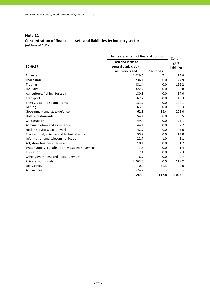# **Note 11 Concentration of financial assets and liabilities by industry sector**

|                                              | In the statement of financial position | Contin-           |             |
|----------------------------------------------|----------------------------------------|-------------------|-------------|
|                                              | <b>Cash and loans to</b>               |                   | gent        |
| 30.09.17                                     | central bank, credit                   |                   | liabilities |
|                                              | institutions and                       | <b>Securities</b> |             |
| Finance                                      | 1 0 2 9 .0                             | 7.1               | 24.8        |
| Real estate                                  | 736.1                                  | 0.0               | 44.9        |
| Trading                                      | 381.4                                  | 0.0               | 166.2       |
| Industry                                     | 322.2                                  | 0.0               | 135.8       |
| Agriculture, fishing, forestry               | 180.8                                  | 0.0               | 14.0        |
| Transport                                    | 167.2                                  | 0.0               | 45.3        |
| Energy, gas and steam plants                 | 131.7                                  | 0.0               | 100.1       |
| Mining                                       | 63.5                                   | 0.0               | 52.3        |
| Government and state defence                 | 62.8                                   | 88.4              | 205.0       |
| Hotels, restaurants                          | 54.1                                   | 0.0               | 0.5         |
| Construction                                 | 49.4                                   | 0.0               | 75.1        |
| Administration and assistance                | 44.1                                   | 0.0               | 7.7         |
| Health services, social work                 | 42.7                                   | 0.0               | 5.0         |
| Professional, science and technical work     | 39.7                                   | 0.0               | 12.0        |
| Information and telecommunication            | 22.7                                   | 1.0               | 5.1         |
| Art, show business, leisure                  | 10.1                                   | 0.0               | 1.7         |
| Water supply, canalisation, waste management | 7.6                                    | 0.0               | 1.4         |
| Education                                    | 7.4                                    | 0.0               | 7.3         |
| Other government and social services         | 6.7                                    | 0.0               | 0.7         |
| Private individuals                          | 2 2 6 2 .5                             | 0.0               | 118.2       |
| Derivatives                                  | 0.0                                    | 21.3              | 0.0         |
| Allowances                                   | $-24.7$                                |                   |             |
|                                              | 5 5 9 7 .0                             | 117.8             | 1023.1      |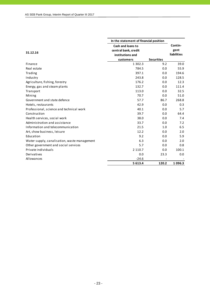|                                              | In the statement of financial position |                   |             |
|----------------------------------------------|----------------------------------------|-------------------|-------------|
|                                              | Cash and loans to                      |                   | Contin-     |
| 31.12.16                                     | central bank, credit                   |                   | gent        |
|                                              | institutions and                       |                   | liabilities |
|                                              | customers                              | <b>Securities</b> |             |
| Finance                                      | 1 3 0 2 . 3                            | 9.2               | 39.0        |
| Real estate                                  | 784.5                                  | 0.0               | 55.9        |
| Trading                                      | 397.1                                  | 0.0               | 194.6       |
| Industry                                     | 243.8                                  | 0.0               | 128.5       |
| Agriculture, fishing, forestry               | 176.2                                  | 0.0               | 12.3        |
| Energy, gas and steam plants                 | 132.7                                  | 0.0               | 111.4       |
| Transport                                    | 113.0                                  | 0.0               | 32.5        |
| Mining                                       | 70.7                                   | 0.0               | 51.0        |
| Government and state defence                 | 57.7                                   | 86.7              | 268.8       |
| Hotels, restaurants                          | 42.9                                   | 0.0               | 0.3         |
| Professional, science and technical work     | 40.1                                   | 0.0               | 5.7         |
| Construction                                 | 39.7                                   | 0.0               | 64.4        |
| Health services, social work                 | 38.0                                   | 0.0               | 7.4         |
| Administration and assistance                | 33.7                                   | 0.0               | 7.2         |
| Information and telecommunication            | 21.5                                   | 1.0               | 6.5         |
| Art, show business, leisure                  | 12.2                                   | 0.0               | 2.0         |
| Education                                    | 9.2                                    | 0.0               | 5.9         |
| Water supply, canalisation, waste management | 6.3                                    | 0.0               | 2.0         |
| Other government and social services         | 5.7                                    | 0.0               | 0.8         |
| Private individuals                          | 2 1 1 0 . 7                            | 0.0               | 100.1       |
| Derivatives                                  | 0.0                                    | 23.3              | 0.0         |
| Allowances                                   | $-24.6$                                |                   |             |
|                                              | 5 613.4                                | 120.2             | 1096.3      |